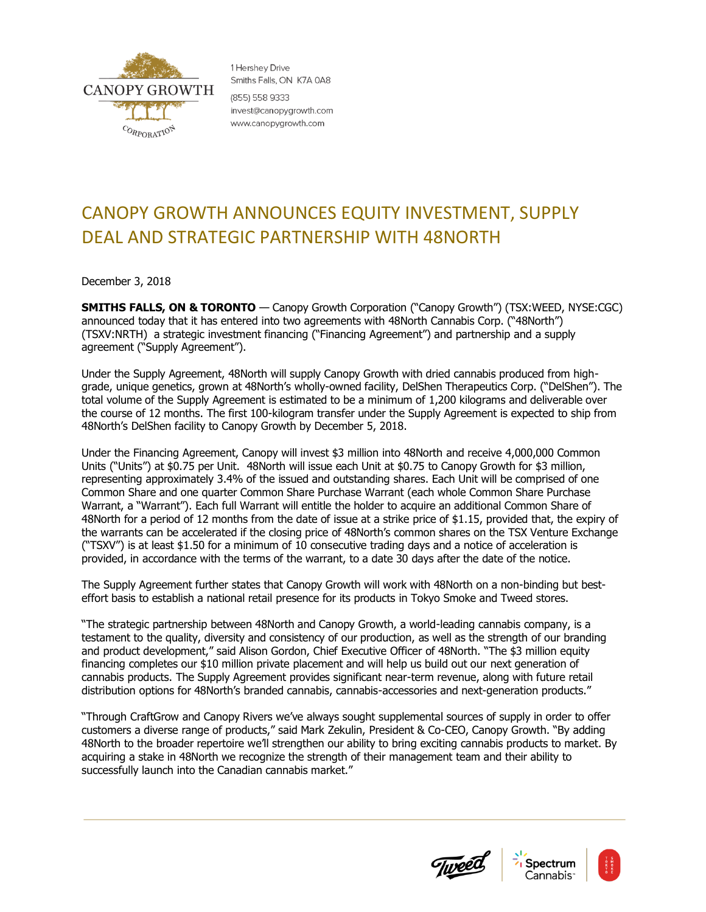

1 Hershev Drive Smiths Falls, ON K7A 0A8 (855) 558 9333 invest@canopygrowth.com www.canopygrowth.com

# CANOPY GROWTH ANNOUNCES EQUITY INVESTMENT, SUPPLY DEAL AND STRATEGIC PARTNERSHIP WITH 48NORTH

December 3, 2018

**SMITHS FALLS, ON & TORONTO** — Canopy Growth Corporation ("Canopy Growth") (TSX:WEED, NYSE:CGC) announced today that it has entered into two agreements with 48North Cannabis Corp. ("48North") (TSXV:NRTH) a strategic investment financing ("Financing Agreement") and partnership and a supply agreement ("Supply Agreement").

Under the Supply Agreement, 48North will supply Canopy Growth with dried cannabis produced from highgrade, unique genetics, grown at 48North's wholly-owned facility, DelShen Therapeutics Corp. ("DelShen"). The total volume of the Supply Agreement is estimated to be a minimum of 1,200 kilograms and deliverable over the course of 12 months. The first 100-kilogram transfer under the Supply Agreement is expected to ship from 48North's DelShen facility to Canopy Growth by December 5, 2018.

Under the Financing Agreement, Canopy will invest \$3 million into 48North and receive 4,000,000 Common Units ("Units") at \$0.75 per Unit. 48North will issue each Unit at \$0.75 to Canopy Growth for \$3 million, representing approximately 3.4% of the issued and outstanding shares. Each Unit will be comprised of one Common Share and one quarter Common Share Purchase Warrant (each whole Common Share Purchase Warrant, a "Warrant"). Each full Warrant will entitle the holder to acquire an additional Common Share of 48North for a period of 12 months from the date of issue at a strike price of \$1.15, provided that, the expiry of the warrants can be accelerated if the closing price of 48North's common shares on the TSX Venture Exchange ("TSXV") is at least \$1.50 for a minimum of 10 consecutive trading days and a notice of acceleration is provided, in accordance with the terms of the warrant, to a date 30 days after the date of the notice.

The Supply Agreement further states that Canopy Growth will work with 48North on a non-binding but besteffort basis to establish a national retail presence for its products in Tokyo Smoke and Tweed stores.

"The strategic partnership between 48North and Canopy Growth, a world-leading cannabis company, is a testament to the quality, diversity and consistency of our production, as well as the strength of our branding and product development," said Alison Gordon, Chief Executive Officer of 48North. "The \$3 million equity financing completes our \$10 million private placement and will help us build out our next generation of cannabis products. The Supply Agreement provides significant near-term revenue, along with future retail distribution options for 48North's branded cannabis, cannabis-accessories and next-generation products."

"Through CraftGrow and Canopy Rivers we've always sought supplemental sources of supply in order to offer customers a diverse range of products," said Mark Zekulin, President & Co-CEO, Canopy Growth. "By adding 48North to the broader repertoire we'll strengthen our ability to bring exciting cannabis products to market. By acquiring a stake in 48North we recognize the strength of their management team and their ability to successfully launch into the Canadian cannabis market."





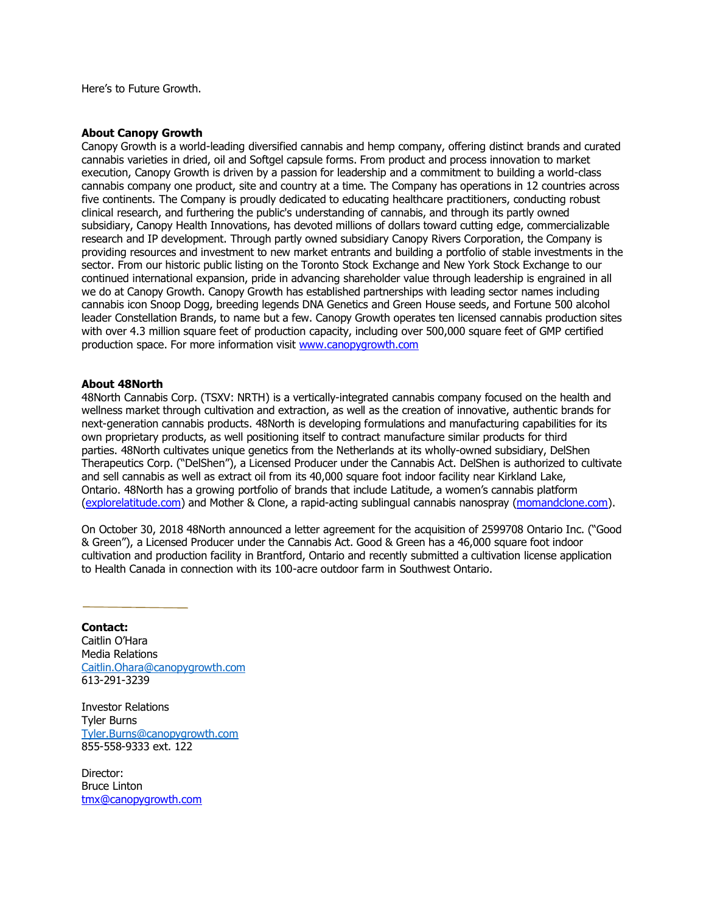Here's to Future Growth.

# **About Canopy Growth**

Canopy Growth is a world-leading diversified cannabis and hemp company, offering distinct brands and curated cannabis varieties in dried, oil and Softgel capsule forms. From product and process innovation to market execution, Canopy Growth is driven by a passion for leadership and a commitment to building a world-class cannabis company one product, site and country at a time. The Company has operations in 12 countries across five continents. The Company is proudly dedicated to educating healthcare practitioners, conducting robust clinical research, and furthering the public's understanding of cannabis, and through its partly owned subsidiary, Canopy Health Innovations, has devoted millions of dollars toward cutting edge, commercializable research and IP development. Through partly owned subsidiary Canopy Rivers Corporation, the Company is providing resources and investment to new market entrants and building a portfolio of stable investments in the sector. From our historic public listing on the Toronto Stock Exchange and New York Stock Exchange to our continued international expansion, pride in advancing shareholder value through leadership is engrained in all we do at Canopy Growth. Canopy Growth has established partnerships with leading sector names including cannabis icon Snoop Dogg, breeding legends DNA Genetics and Green House seeds, and Fortune 500 alcohol leader Constellation Brands, to name but a few. Canopy Growth operates ten licensed cannabis production sites with over 4.3 million square feet of production capacity, including over 500,000 square feet of GMP certified production space. For more information visit [www.canopygrowth.com](http://www.canopygrowth.com/)

# **About 48North**

[48North Cannabis Corp.](http://www.48nrth.com/) (TSXV: NRTH) is a vertically-integrated cannabis company focused on the health and wellness market through cultivation and extraction, as well as the creation of innovative, authentic brands for next-generation cannabis products. 48North is developing formulations and manufacturing capabilities for its own proprietary products, as well positioning itself to contract manufacture similar products for third parties. 48North cultivates unique genetics from the Netherlands at its wholly-owned subsidiary, DelShen Therapeutics Corp. ("DelShen"), a Licensed Producer under the Cannabis Act. DelShen is authorized to cultivate and sell cannabis as well as extract oil from its 40,000 square foot indoor facility near Kirkland Lake, Ontario. 48North has a growing portfolio of brands that include Latitude, a women's cannabis platform [\(explorelatitude.com\)](http://www.explorelatitude.com/) and Mother & Clone, a rapid-acting sublingual cannabis nanospray [\(momandclone.com\)](file:///G:/Team%20Drives/COMMS/COMMS%20DRIVE/FINAL%20RELEASES/momandclone.com).

On October 30, 2018 48North announced a letter agreement for the acquisition of 2599708 Ontario Inc. ("Good & Green"), a Licensed Producer under the Cannabis Act. Good & Green has a 46,000 square foot indoor cultivation and production facility in Brantford, Ontario and recently submitted a cultivation license application to Health Canada in connection with its 100-acre outdoor farm in Southwest Ontario.

### **Contact:**

Caitlin O'Hara Media Relations [Caitlin.Ohara@canopygrowth.com](mailto:Caitlin.Ohara@canopygrowth.com) 613-291-3239

Investor Relations Tyler Burns [Tyler.Burns@canopygrowth.com](mailto:Tyler.Burns@canopygrowth.com) 855-558-9333 ext. 122

Director: Bruce Linton [tmx@canopygrowth.com](mailto:tmx@canopygrowth.com)